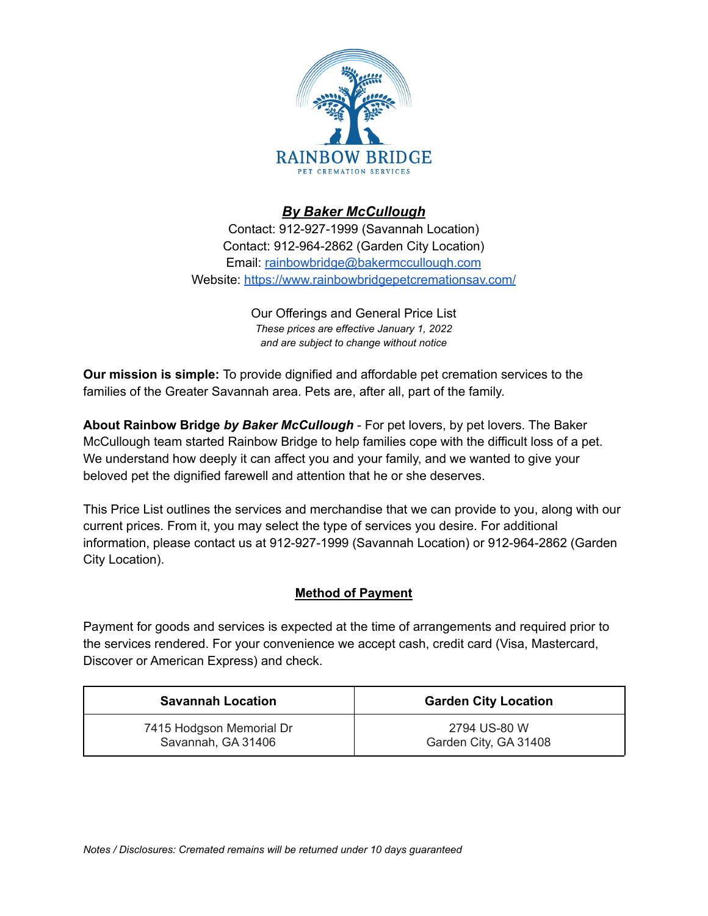

## *By Baker McCullough*

Contact: 912-927-1999 (Savannah Location) Contact: 912-964-2862 (Garden City Location) Email: [rainbowbridge@bakermccullough.com](mailto:rainbowbridge@bakermccullough.com) Website: <https://www.rainbowbridgepetcremationsav.com/>

> Our Offerings and General Price List *These prices are effective January 1, 2022 and are subject to change without notice*

**Our mission is simple:** To provide dignified and affordable pet cremation services to the families of the Greater Savannah area. Pets are, after all, part of the family.

**About Rainbow Bridge** *by Baker McCullough* - For pet lovers, by pet lovers. The Baker McCullough team started Rainbow Bridge to help families cope with the difficult loss of a pet. We understand how deeply it can affect you and your family, and we wanted to give your beloved pet the dignified farewell and attention that he or she deserves.

This Price List outlines the services and merchandise that we can provide to you, along with our current prices. From it, you may select the type of services you desire. For additional information, please contact us at 912-927-1999 (Savannah Location) or 912-964-2862 (Garden City Location).

## **Method of Payment**

Payment for goods and services is expected at the time of arrangements and required prior to the services rendered. For your convenience we accept cash, credit card (Visa, Mastercard, Discover or American Express) and check.

| <b>Savannah Location</b> | <b>Garden City Location</b> |
|--------------------------|-----------------------------|
| 7415 Hodgson Memorial Dr | 2794 US-80 W                |
| Savannah, GA 31406       | Garden City, GA 31408       |